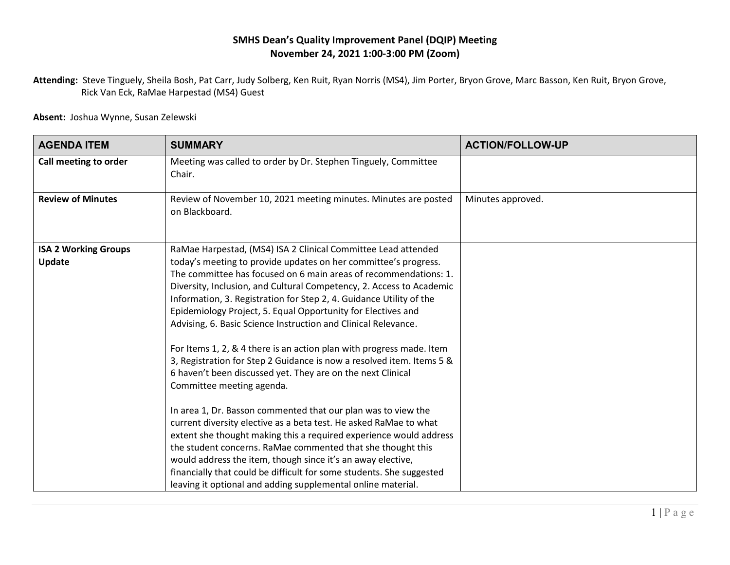## **SMHS Dean's Quality Improvement Panel (DQIP) Meeting November 24, 2021 1:00-3:00 PM (Zoom)**

**Attending:** Steve Tinguely, Sheila Bosh, Pat Carr, Judy Solberg, Ken Ruit, Ryan Norris (MS4), Jim Porter, Bryon Grove, Marc Basson, Ken Ruit, Bryon Grove, Rick Van Eck, RaMae Harpestad (MS4) Guest

**Absent:** Joshua Wynne, Susan Zelewski

| <b>AGENDA ITEM</b>                           | <b>SUMMARY</b>                                                                                                                                                                                                                                                                                                                                                                                                                                                                                                                                                                                                                                                                                                                                                                                                                                                                                                                                                                                                                                                                                                                                                                                                       | <b>ACTION/FOLLOW-UP</b> |
|----------------------------------------------|----------------------------------------------------------------------------------------------------------------------------------------------------------------------------------------------------------------------------------------------------------------------------------------------------------------------------------------------------------------------------------------------------------------------------------------------------------------------------------------------------------------------------------------------------------------------------------------------------------------------------------------------------------------------------------------------------------------------------------------------------------------------------------------------------------------------------------------------------------------------------------------------------------------------------------------------------------------------------------------------------------------------------------------------------------------------------------------------------------------------------------------------------------------------------------------------------------------------|-------------------------|
| Call meeting to order                        | Meeting was called to order by Dr. Stephen Tinguely, Committee<br>Chair.                                                                                                                                                                                                                                                                                                                                                                                                                                                                                                                                                                                                                                                                                                                                                                                                                                                                                                                                                                                                                                                                                                                                             |                         |
| <b>Review of Minutes</b>                     | Review of November 10, 2021 meeting minutes. Minutes are posted<br>on Blackboard.                                                                                                                                                                                                                                                                                                                                                                                                                                                                                                                                                                                                                                                                                                                                                                                                                                                                                                                                                                                                                                                                                                                                    | Minutes approved.       |
| <b>ISA 2 Working Groups</b><br><b>Update</b> | RaMae Harpestad, (MS4) ISA 2 Clinical Committee Lead attended<br>today's meeting to provide updates on her committee's progress.<br>The committee has focused on 6 main areas of recommendations: 1.<br>Diversity, Inclusion, and Cultural Competency, 2. Access to Academic<br>Information, 3. Registration for Step 2, 4. Guidance Utility of the<br>Epidemiology Project, 5. Equal Opportunity for Electives and<br>Advising, 6. Basic Science Instruction and Clinical Relevance.<br>For Items 1, 2, & 4 there is an action plan with progress made. Item<br>3, Registration for Step 2 Guidance is now a resolved item. Items 5 &<br>6 haven't been discussed yet. They are on the next Clinical<br>Committee meeting agenda.<br>In area 1, Dr. Basson commented that our plan was to view the<br>current diversity elective as a beta test. He asked RaMae to what<br>extent she thought making this a required experience would address<br>the student concerns. RaMae commented that she thought this<br>would address the item, though since it's an away elective,<br>financially that could be difficult for some students. She suggested<br>leaving it optional and adding supplemental online material. |                         |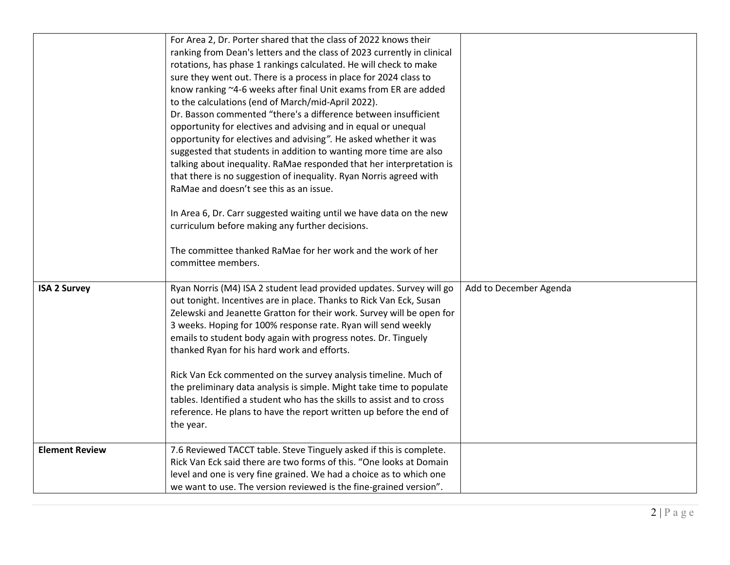|                       | For Area 2, Dr. Porter shared that the class of 2022 knows their<br>ranking from Dean's letters and the class of 2023 currently in clinical<br>rotations, has phase 1 rankings calculated. He will check to make<br>sure they went out. There is a process in place for 2024 class to<br>know ranking ~4-6 weeks after final Unit exams from ER are added<br>to the calculations (end of March/mid-April 2022).<br>Dr. Basson commented "there's a difference between insufficient<br>opportunity for electives and advising and in equal or unequal<br>opportunity for electives and advising". He asked whether it was<br>suggested that students in addition to wanting more time are also |                        |
|-----------------------|-----------------------------------------------------------------------------------------------------------------------------------------------------------------------------------------------------------------------------------------------------------------------------------------------------------------------------------------------------------------------------------------------------------------------------------------------------------------------------------------------------------------------------------------------------------------------------------------------------------------------------------------------------------------------------------------------|------------------------|
|                       | talking about inequality. RaMae responded that her interpretation is<br>that there is no suggestion of inequality. Ryan Norris agreed with<br>RaMae and doesn't see this as an issue.<br>In Area 6, Dr. Carr suggested waiting until we have data on the new                                                                                                                                                                                                                                                                                                                                                                                                                                  |                        |
|                       | curriculum before making any further decisions.<br>The committee thanked RaMae for her work and the work of her<br>committee members.                                                                                                                                                                                                                                                                                                                                                                                                                                                                                                                                                         |                        |
| <b>ISA 2 Survey</b>   | Ryan Norris (M4) ISA 2 student lead provided updates. Survey will go<br>out tonight. Incentives are in place. Thanks to Rick Van Eck, Susan<br>Zelewski and Jeanette Gratton for their work. Survey will be open for<br>3 weeks. Hoping for 100% response rate. Ryan will send weekly<br>emails to student body again with progress notes. Dr. Tinguely<br>thanked Ryan for his hard work and efforts.                                                                                                                                                                                                                                                                                        | Add to December Agenda |
|                       | Rick Van Eck commented on the survey analysis timeline. Much of<br>the preliminary data analysis is simple. Might take time to populate<br>tables. Identified a student who has the skills to assist and to cross<br>reference. He plans to have the report written up before the end of<br>the year.                                                                                                                                                                                                                                                                                                                                                                                         |                        |
| <b>Element Review</b> | 7.6 Reviewed TACCT table. Steve Tinguely asked if this is complete.<br>Rick Van Eck said there are two forms of this. "One looks at Domain<br>level and one is very fine grained. We had a choice as to which one<br>we want to use. The version reviewed is the fine-grained version".                                                                                                                                                                                                                                                                                                                                                                                                       |                        |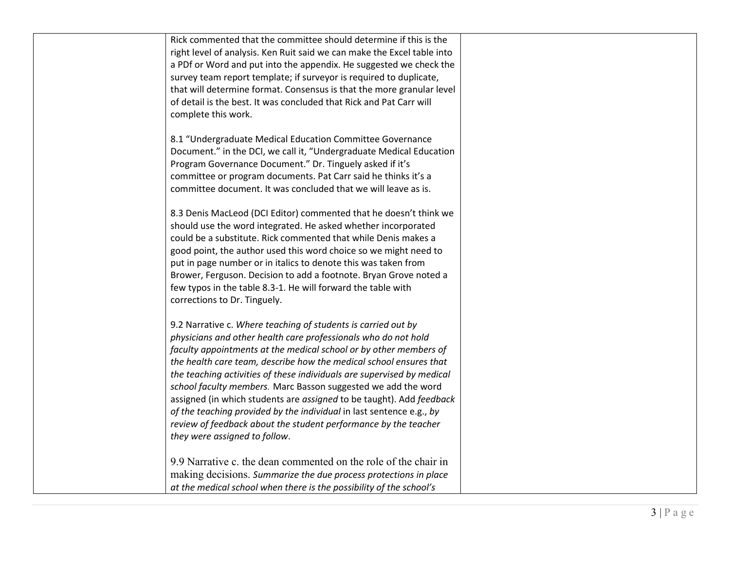| Rick commented that the committee should determine if this is the<br>right level of analysis. Ken Ruit said we can make the Excel table into<br>a PDf or Word and put into the appendix. He suggested we check the<br>survey team report template; if surveyor is required to duplicate,<br>that will determine format. Consensus is that the more granular level<br>of detail is the best. It was concluded that Rick and Pat Carr will<br>complete this work.                                                                                                                                                                                                           |  |
|---------------------------------------------------------------------------------------------------------------------------------------------------------------------------------------------------------------------------------------------------------------------------------------------------------------------------------------------------------------------------------------------------------------------------------------------------------------------------------------------------------------------------------------------------------------------------------------------------------------------------------------------------------------------------|--|
| 8.1 "Undergraduate Medical Education Committee Governance<br>Document." in the DCI, we call it, "Undergraduate Medical Education<br>Program Governance Document." Dr. Tinguely asked if it's<br>committee or program documents. Pat Carr said he thinks it's a<br>committee document. It was concluded that we will leave as is.                                                                                                                                                                                                                                                                                                                                          |  |
| 8.3 Denis MacLeod (DCI Editor) commented that he doesn't think we<br>should use the word integrated. He asked whether incorporated<br>could be a substitute. Rick commented that while Denis makes a<br>good point, the author used this word choice so we might need to<br>put in page number or in italics to denote this was taken from<br>Brower, Ferguson. Decision to add a footnote. Bryan Grove noted a<br>few typos in the table 8.3-1. He will forward the table with<br>corrections to Dr. Tinguely.                                                                                                                                                           |  |
| 9.2 Narrative c. Where teaching of students is carried out by<br>physicians and other health care professionals who do not hold<br>faculty appointments at the medical school or by other members of<br>the health care team, describe how the medical school ensures that<br>the teaching activities of these individuals are supervised by medical<br>school faculty members. Marc Basson suggested we add the word<br>assigned (in which students are assigned to be taught). Add feedback<br>of the teaching provided by the individual in last sentence e.g., by<br>review of feedback about the student performance by the teacher<br>they were assigned to follow. |  |
| 9.9 Narrative c. the dean commented on the role of the chair in<br>making decisions. Summarize the due process protections in place<br>at the medical school when there is the possibility of the school's                                                                                                                                                                                                                                                                                                                                                                                                                                                                |  |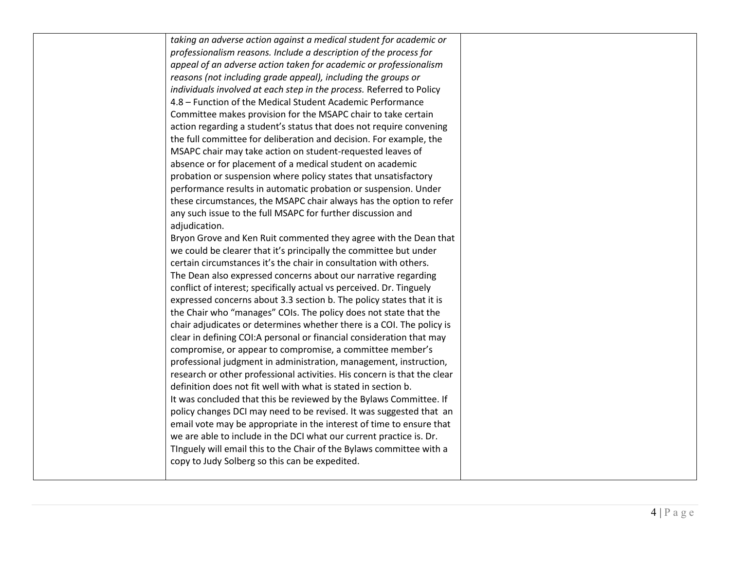| taking an adverse action against a medical student for academic or       |
|--------------------------------------------------------------------------|
| professionalism reasons. Include a description of the process for        |
| appeal of an adverse action taken for academic or professionalism        |
| reasons (not including grade appeal), including the groups or            |
| individuals involved at each step in the process. Referred to Policy     |
| 4.8 - Function of the Medical Student Academic Performance               |
| Committee makes provision for the MSAPC chair to take certain            |
| action regarding a student's status that does not require convening      |
| the full committee for deliberation and decision. For example, the       |
| MSAPC chair may take action on student-requested leaves of               |
| absence or for placement of a medical student on academic                |
| probation or suspension where policy states that unsatisfactory          |
| performance results in automatic probation or suspension. Under          |
| these circumstances, the MSAPC chair always has the option to refer      |
| any such issue to the full MSAPC for further discussion and              |
| adjudication.                                                            |
| Bryon Grove and Ken Ruit commented they agree with the Dean that         |
| we could be clearer that it's principally the committee but under        |
| certain circumstances it's the chair in consultation with others.        |
| The Dean also expressed concerns about our narrative regarding           |
| conflict of interest; specifically actual vs perceived. Dr. Tinguely     |
| expressed concerns about 3.3 section b. The policy states that it is     |
| the Chair who "manages" COIs. The policy does not state that the         |
| chair adjudicates or determines whether there is a COI. The policy is    |
| clear in defining COI:A personal or financial consideration that may     |
| compromise, or appear to compromise, a committee member's                |
| professional judgment in administration, management, instruction,        |
| research or other professional activities. His concern is that the clear |
| definition does not fit well with what is stated in section b.           |
| It was concluded that this be reviewed by the Bylaws Committee. If       |
| policy changes DCI may need to be revised. It was suggested that an      |
| email vote may be appropriate in the interest of time to ensure that     |
| we are able to include in the DCI what our current practice is. Dr.      |
| Tinguely will email this to the Chair of the Bylaws committee with a     |
| copy to Judy Solberg so this can be expedited.                           |
|                                                                          |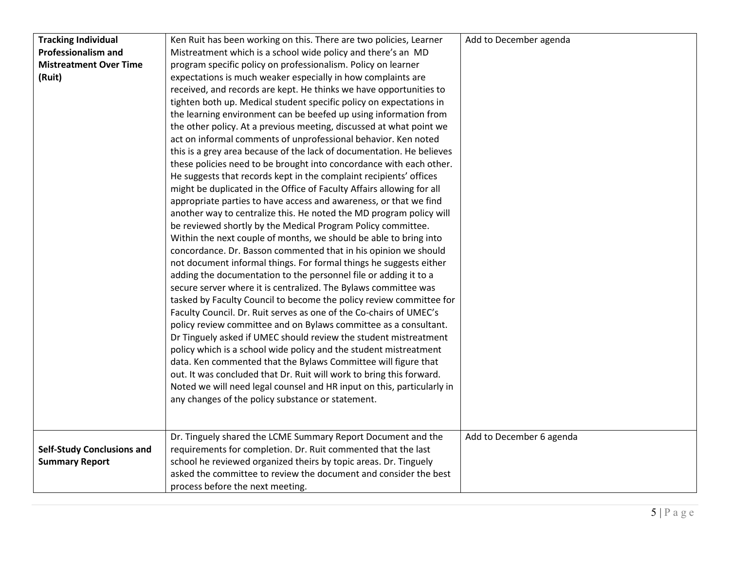| <b>Tracking Individual</b>        | Ken Ruit has been working on this. There are two policies, Learner     | Add to December agenda   |
|-----------------------------------|------------------------------------------------------------------------|--------------------------|
| <b>Professionalism and</b>        | Mistreatment which is a school wide policy and there's an MD           |                          |
| <b>Mistreatment Over Time</b>     | program specific policy on professionalism. Policy on learner          |                          |
| (Ruit)                            | expectations is much weaker especially in how complaints are           |                          |
|                                   | received, and records are kept. He thinks we have opportunities to     |                          |
|                                   | tighten both up. Medical student specific policy on expectations in    |                          |
|                                   | the learning environment can be beefed up using information from       |                          |
|                                   | the other policy. At a previous meeting, discussed at what point we    |                          |
|                                   | act on informal comments of unprofessional behavior. Ken noted         |                          |
|                                   | this is a grey area because of the lack of documentation. He believes  |                          |
|                                   | these policies need to be brought into concordance with each other.    |                          |
|                                   | He suggests that records kept in the complaint recipients' offices     |                          |
|                                   | might be duplicated in the Office of Faculty Affairs allowing for all  |                          |
|                                   | appropriate parties to have access and awareness, or that we find      |                          |
|                                   | another way to centralize this. He noted the MD program policy will    |                          |
|                                   | be reviewed shortly by the Medical Program Policy committee.           |                          |
|                                   | Within the next couple of months, we should be able to bring into      |                          |
|                                   | concordance. Dr. Basson commented that in his opinion we should        |                          |
|                                   | not document informal things. For formal things he suggests either     |                          |
|                                   | adding the documentation to the personnel file or adding it to a       |                          |
|                                   | secure server where it is centralized. The Bylaws committee was        |                          |
|                                   | tasked by Faculty Council to become the policy review committee for    |                          |
|                                   | Faculty Council. Dr. Ruit serves as one of the Co-chairs of UMEC's     |                          |
|                                   | policy review committee and on Bylaws committee as a consultant.       |                          |
|                                   | Dr Tinguely asked if UMEC should review the student mistreatment       |                          |
|                                   | policy which is a school wide policy and the student mistreatment      |                          |
|                                   | data. Ken commented that the Bylaws Committee will figure that         |                          |
|                                   | out. It was concluded that Dr. Ruit will work to bring this forward.   |                          |
|                                   | Noted we will need legal counsel and HR input on this, particularly in |                          |
|                                   | any changes of the policy substance or statement.                      |                          |
|                                   |                                                                        |                          |
|                                   |                                                                        |                          |
|                                   | Dr. Tinguely shared the LCME Summary Report Document and the           | Add to December 6 agenda |
| <b>Self-Study Conclusions and</b> | requirements for completion. Dr. Ruit commented that the last          |                          |
| <b>Summary Report</b>             | school he reviewed organized theirs by topic areas. Dr. Tinguely       |                          |
|                                   | asked the committee to review the document and consider the best       |                          |
|                                   | process before the next meeting.                                       |                          |